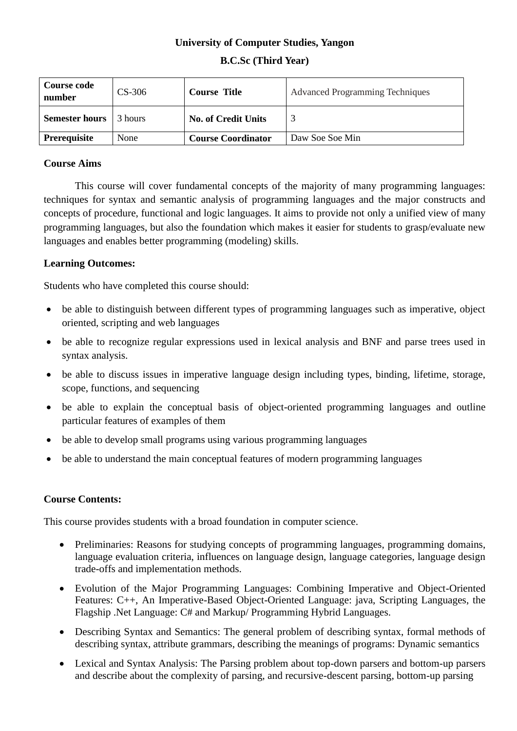# **University of Computer Studies, Yangon B.C.Sc (Third Year)**

| <b>Course code</b><br>number | $CS-306$   | <b>Course Title</b>        | <b>Advanced Programming Techniques</b> |
|------------------------------|------------|----------------------------|----------------------------------------|
| <b>Semester hours</b>        | l 3 hours. | <b>No. of Credit Units</b> |                                        |
| Prerequisite                 | None       | <b>Course Coordinator</b>  | Daw Soe Soe Min                        |

## **Course Aims**

This course will cover fundamental concepts of the majority of many programming languages: techniques for syntax and semantic analysis of programming languages and the major constructs and concepts of procedure, functional and logic languages. It aims to provide not only a unified view of many programming languages, but also the foundation which makes it easier for students to grasp/evaluate new languages and enables better programming (modeling) skills.

## **Learning Outcomes:**

Students who have completed this course should:

- be able to distinguish between different types of programming languages such as imperative, object oriented, scripting and web languages
- be able to recognize regular expressions used in lexical analysis and BNF and parse trees used in syntax analysis.
- be able to discuss issues in imperative language design including types, binding, lifetime, storage, scope, functions, and sequencing
- be able to explain the conceptual basis of object-oriented programming languages and outline particular features of examples of them
- be able to develop small programs using various programming languages
- be able to understand the main conceptual features of modern programming languages

### **Course Contents:**

This course provides students with a broad foundation in computer science.

- Preliminaries: Reasons for studying concepts of programming languages, programming domains, language evaluation criteria, influences on language design, language categories, language design trade-offs and implementation methods.
- Evolution of the Major Programming Languages: Combining Imperative and Object-Oriented Features: C++, An Imperative-Based Object-Oriented Language: java, Scripting Languages, the Flagship .Net Language: C# and Markup/ Programming Hybrid Languages.
- Describing Syntax and Semantics: The general problem of describing syntax, formal methods of describing syntax, attribute grammars, describing the meanings of programs: Dynamic semantics
- Lexical and Syntax Analysis: The Parsing problem about top-down parsers and bottom-up parsers and describe about the complexity of parsing, and recursive-descent parsing, bottom-up parsing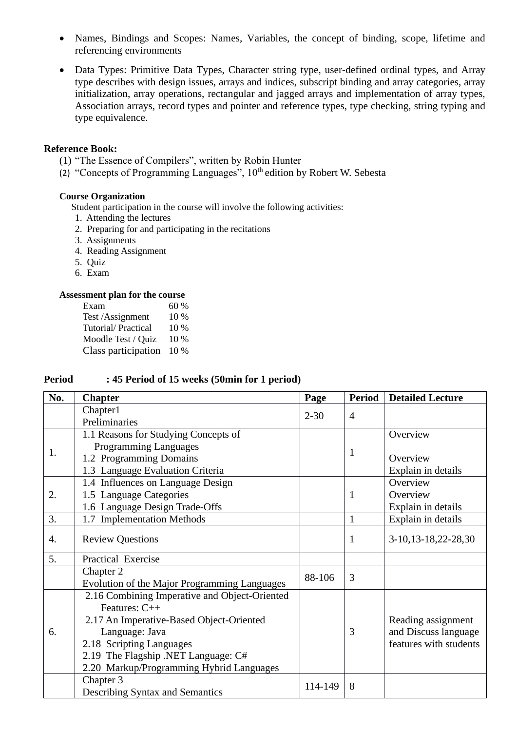- Names, Bindings and Scopes: Names, Variables, the concept of binding, scope, lifetime and referencing environments
- Data Types: Primitive Data Types, Character string type, user-defined ordinal types, and Array type describes with design issues, arrays and indices, subscript binding and array categories, array initialization, array operations, rectangular and jagged arrays and implementation of array types, Association arrays, record types and pointer and reference types, type checking, string typing and type equivalence.

#### **Reference Book:**

- (1) "The Essence of Compilers", written by Robin Hunter
- (2) "Concepts of Programming Languages",  $10<sup>th</sup>$  edition by Robert W. Sebesta

### **Course Organization**

Student participation in the course will involve the following activities:

- 1. Attending the lectures
- 2. Preparing for and participating in the recitations
- 3. Assignments
- 4. Reading Assignment
- 5. Quiz
- 6. Exam

#### **Assessment plan for the course**

Exam  $60\%$ Test /Assignment 10 % Tutorial/Practical 10 % Moodle Test / Quiz 10 % Class participation 10 %

#### **Period : 45 Period of 15 weeks (50min for 1 period)**

| No. | <b>Chapter</b>                                | Page     | <b>Period</b>  | <b>Detailed Lecture</b> |
|-----|-----------------------------------------------|----------|----------------|-------------------------|
|     | Chapter1                                      | $2 - 30$ |                |                         |
|     | Preliminaries                                 |          | $\overline{4}$ |                         |
|     | 1.1 Reasons for Studying Concepts of          |          |                | Overview                |
|     | Programming Languages                         |          | 1              |                         |
| 1.  | 1.2 Programming Domains                       |          |                | Overview                |
|     | 1.3 Language Evaluation Criteria              |          |                | Explain in details      |
|     | 1.4 Influences on Language Design             |          | 1              | Overview                |
| 2.  | 1.5 Language Categories                       |          |                | Overview                |
|     | 1.6 Language Design Trade-Offs                |          |                | Explain in details      |
| 3.  | 1.7 Implementation Methods                    |          | 1              | Explain in details      |
| 4.  | <b>Review Questions</b>                       |          | $\mathbf{1}$   | 3-10, 13-18, 22-28, 30  |
| 5.  | Practical Exercise                            |          |                |                         |
|     | Chapter 2                                     | 88-106   | 3              |                         |
|     | Evolution of the Major Programming Languages  |          |                |                         |
|     | 2.16 Combining Imperative and Object-Oriented |          |                |                         |
| 6.  | Features: $C++$                               |          |                |                         |
|     | 2.17 An Imperative-Based Object-Oriented      |          |                | Reading assignment      |
|     | Language: Java                                |          | 3              | and Discuss language    |
|     | 2.18 Scripting Languages                      |          |                | features with students  |
|     | 2.19 The Flagship .NET Language: C#           |          |                |                         |
|     | 2.20 Markup/Programming Hybrid Languages      |          |                |                         |
|     | Chapter 3                                     | 114-149  | 8              |                         |
|     | <b>Describing Syntax and Semantics</b>        |          |                |                         |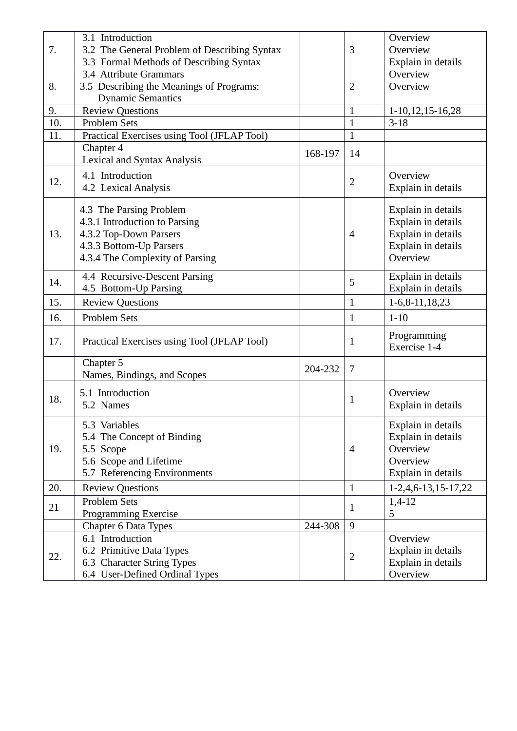| 7.  | 3.1 Introduction                             |         |                | Overview              |
|-----|----------------------------------------------|---------|----------------|-----------------------|
|     | 3.2 The General Problem of Describing Syntax |         | 3              | Overview              |
|     | 3.3 Formal Methods of Describing Syntax      |         |                | Explain in details    |
|     | 3.4 Attribute Grammars                       |         |                | Overview              |
| 8.  | 3.5 Describing the Meanings of Programs:     |         | $\overline{2}$ | Overview              |
|     | <b>Dynamic Semantics</b>                     |         |                |                       |
| 9.  | <b>Review Questions</b>                      |         | $\mathbf{1}$   | $1-10, 12, 15-16, 28$ |
| 10. | Problem Sets                                 |         | $\mathbf{1}$   | $3 - 18$              |
| 11. | Practical Exercises using Tool (JFLAP Tool)  |         | $\mathbf{1}$   |                       |
|     | Chapter 4                                    |         |                |                       |
|     | Lexical and Syntax Analysis                  | 168-197 | 14             |                       |
|     | 4.1 Introduction                             |         |                | Overview              |
| 12. | 4.2 Lexical Analysis                         |         | $\overline{2}$ | Explain in details    |
|     |                                              |         |                |                       |
|     | 4.3 The Parsing Problem                      |         |                | Explain in details    |
|     | 4.3.1 Introduction to Parsing                |         | $\overline{4}$ | Explain in details    |
| 13. | 4.3.2 Top-Down Parsers                       |         |                | Explain in details    |
|     | 4.3.3 Bottom-Up Parsers                      |         |                | Explain in details    |
|     | 4.3.4 The Complexity of Parsing              |         |                | Overview              |
|     | 4.4 Recursive-Descent Parsing                |         |                | Explain in details    |
| 14. | 4.5 Bottom-Up Parsing                        |         | 5              | Explain in details    |
| 15. | <b>Review Questions</b>                      |         | $\mathbf{1}$   | $1-6, 8-11, 18, 23$   |
| 16. | <b>Problem Sets</b>                          |         | $\mathbf{1}$   | $1 - 10$              |
|     |                                              |         |                | Programming           |
| 17. | Practical Exercises using Tool (JFLAP Tool)  |         | $\mathbf{1}$   | Exercise 1-4          |
|     |                                              |         |                |                       |
|     | Chapter 5                                    | 204-232 | $\tau$         |                       |
|     | Names, Bindings, and Scopes                  |         |                |                       |
| 18. | 5.1 Introduction                             |         | $\mathbf{1}$   | Overview              |
|     | 5.2 Names                                    |         |                | Explain in details    |
|     | 5.3 Variables                                |         |                | Explain in details    |
|     | 5.4 The Concept of Binding                   |         |                | Explain in details    |
| 19. | 5.5 Scope                                    |         | $\overline{4}$ | Overview              |
|     | 5.6 Scope and Lifetime                       |         |                | Overview              |
|     | 5.7 Referencing Environments                 |         |                | Explain in details    |
| 20. | <b>Review Questions</b>                      |         | $\mathbf{1}$   | $1-2,4,6-13,15-17,22$ |
|     | <b>Problem Sets</b>                          |         |                | $1,4-12$              |
| 21  | Programming Exercise                         |         | 1              | 5                     |
|     | <b>Chapter 6 Data Types</b>                  | 244-308 | 9              |                       |
|     | 6.1 Introduction                             |         |                | Overview              |
| 22. | 6.2 Primitive Data Types                     |         |                | Explain in details    |
|     | 6.3 Character String Types                   |         | $\overline{2}$ | Explain in details    |
|     | 6.4 User-Defined Ordinal Types               |         |                | Overview              |